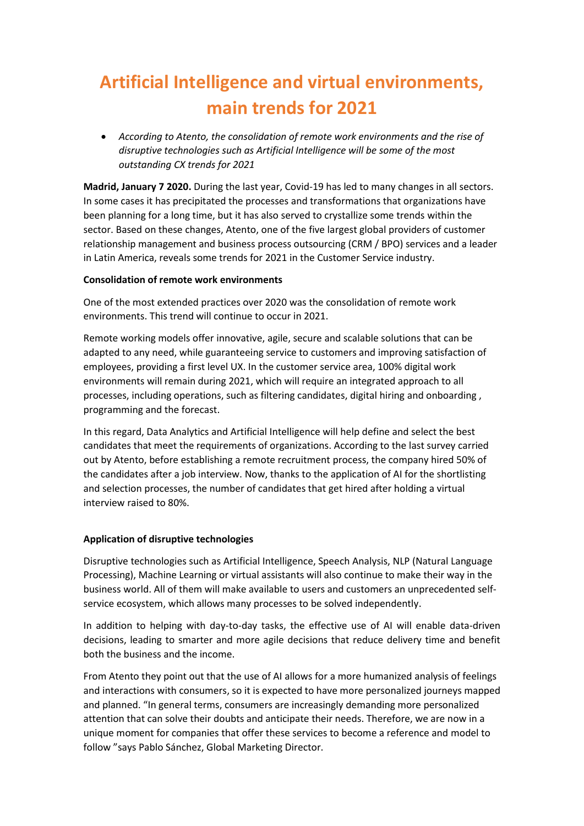# **Artificial Intelligence and virtual environments, main trends for 2021**

• *According to Atento, the consolidation of remote work environments and the rise of disruptive technologies such as Artificial Intelligence will be some of the most outstanding CX trends for 2021* 

**Madrid, January 7 2020.** During the last year, Covid-19 has led to many changes in all sectors. In some cases it has precipitated the processes and transformations that organizations have been planning for a long time, but it has also served to crystallize some trends within the sector. Based on these changes, Atento, one of the five largest global providers of customer relationship management and business process outsourcing (CRM / BPO) services and a leader in Latin America, reveals some trends for 2021 in the Customer Service industry.

### **Consolidation of remote work environments**

One of the most extended practices over 2020 was the consolidation of remote work environments. This trend will continue to occur in 2021.

Remote working models offer innovative, agile, secure and scalable solutions that can be adapted to any need, while guaranteeing service to customers and improving satisfaction of employees, providing a first level UX. In the customer service area, 100% digital work environments will remain during 2021, which will require an integrated approach to all processes, including operations, such as filtering candidates, digital hiring and onboarding , programming and the forecast.

In this regard, Data Analytics and Artificial Intelligence will help define and select the best candidates that meet the requirements of organizations. According to the last survey carried out by Atento, before establishing a remote recruitment process, the company hired 50% of the candidates after a job interview. Now, thanks to the application of AI for the shortlisting and selection processes, the number of candidates that get hired after holding a virtual interview raised to 80%.

## **Application of disruptive technologies**

Disruptive technologies such as Artificial Intelligence, Speech Analysis, NLP (Natural Language Processing), Machine Learning or virtual assistants will also continue to make their way in the business world. All of them will make available to users and customers an unprecedented selfservice ecosystem, which allows many processes to be solved independently.

In addition to helping with day-to-day tasks, the effective use of AI will enable data-driven decisions, leading to smarter and more agile decisions that reduce delivery time and benefit both the business and the income.

From Atento they point out that the use of AI allows for a more humanized analysis of feelings and interactions with consumers, so it is expected to have more personalized journeys mapped and planned. "In general terms, consumers are increasingly demanding more personalized attention that can solve their doubts and anticipate their needs. Therefore, we are now in a unique moment for companies that offer these services to become a reference and model to follow "says Pablo Sánchez, Global Marketing Director.